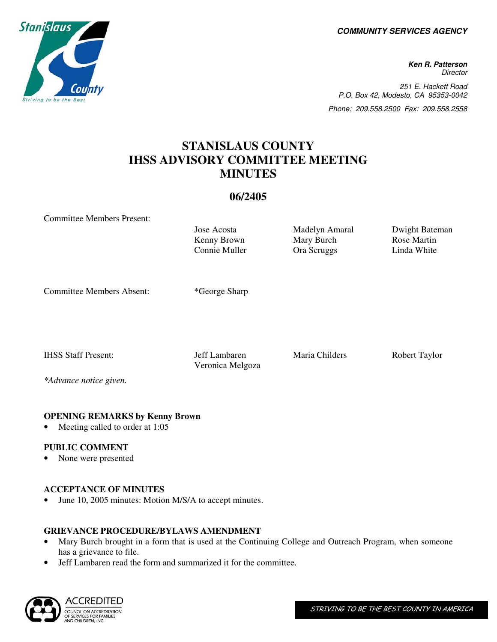**COMMUNITY SERVICES AGENCY** 

**Ken R. Patterson Director** 251 E. Hackett Road P.O. Box 42, Modesto, CA 95353-0042 Phone: 209.558.2500 Fax: 209.558.2558

# **STANISLAUS COUNTY IHSS ADVISORY COMMITTEE MEETING MINUTES**

# **06/2405**

Committee Members Present:

Kenny Brown Connie Muller

Jose Acosta Madelyn Amaral Dwight Bateman Mary Burch Ora Scruggs

Rose Martin Linda White

Committee Members Absent: \*George Sharp

IHSS Staff Present: Jeff Lambaren Maria Childers Robert Taylor Veronica Melgoza

*\*Advance notice given.* 

# **OPENING REMARKS by Kenny Brown**

Meeting called to order at 1:05

# **PUBLIC COMMENT**

• None were presented

### **ACCEPTANCE OF MINUTES**

June 10, 2005 minutes: Motion M/S/A to accept minutes.

# **GRIEVANCE PROCEDURE/BYLAWS AMENDMENT**

- Mary Burch brought in a form that is used at the Continuing College and Outreach Program, when someone has a grievance to file.
- Jeff Lambaren read the form and summarized it for the committee.

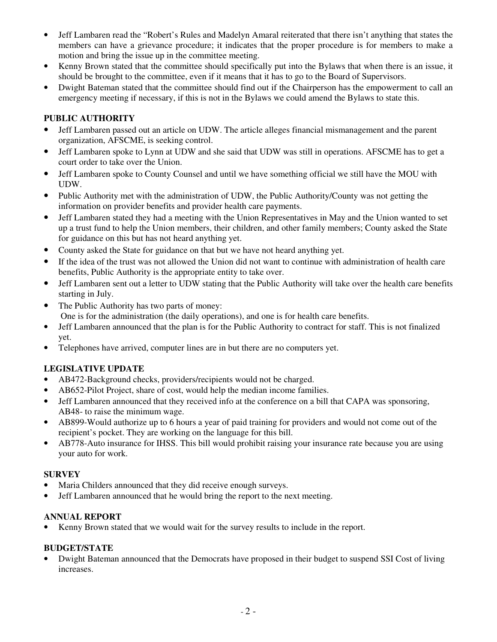- Jeff Lambaren read the "Robert's Rules and Madelyn Amaral reiterated that there isn't anything that states the members can have a grievance procedure; it indicates that the proper procedure is for members to make a motion and bring the issue up in the committee meeting.
- Kenny Brown stated that the committee should specifically put into the Bylaws that when there is an issue, it should be brought to the committee, even if it means that it has to go to the Board of Supervisors.
- Dwight Bateman stated that the committee should find out if the Chairperson has the empowerment to call an emergency meeting if necessary, if this is not in the Bylaws we could amend the Bylaws to state this.

# **PUBLIC AUTHORITY**

- Jeff Lambaren passed out an article on UDW. The article alleges financial mismanagement and the parent organization, AFSCME, is seeking control.
- Jeff Lambaren spoke to Lynn at UDW and she said that UDW was still in operations. AFSCME has to get a court order to take over the Union.
- Jeff Lambaren spoke to County Counsel and until we have something official we still have the MOU with UDW.
- Public Authority met with the administration of UDW, the Public Authority/County was not getting the information on provider benefits and provider health care payments.
- Jeff Lambaren stated they had a meeting with the Union Representatives in May and the Union wanted to set up a trust fund to help the Union members, their children, and other family members; County asked the State for guidance on this but has not heard anything yet.
- County asked the State for guidance on that but we have not heard anything yet.
- If the idea of the trust was not allowed the Union did not want to continue with administration of health care benefits, Public Authority is the appropriate entity to take over.
- Jeff Lambaren sent out a letter to UDW stating that the Public Authority will take over the health care benefits starting in July.
- The Public Authority has two parts of money: One is for the administration (the daily operations), and one is for health care benefits.
- Jeff Lambaren announced that the plan is for the Public Authority to contract for staff. This is not finalized yet.
- Telephones have arrived, computer lines are in but there are no computers yet.

# **LEGISLATIVE UPDATE**

- AB472-Background checks, providers/recipients would not be charged.
- AB652-Pilot Project, share of cost, would help the median income families.
- Jeff Lambaren announced that they received info at the conference on a bill that CAPA was sponsoring, AB48- to raise the minimum wage.
- AB899-Would authorize up to 6 hours a year of paid training for providers and would not come out of the recipient's pocket. They are working on the language for this bill.
- AB778-Auto insurance for IHSS. This bill would prohibit raising your insurance rate because you are using your auto for work.

# **SURVEY**

- Maria Childers announced that they did receive enough surveys.
- Jeff Lambaren announced that he would bring the report to the next meeting.

# **ANNUAL REPORT**

• Kenny Brown stated that we would wait for the survey results to include in the report.

### **BUDGET/STATE**

• Dwight Bateman announced that the Democrats have proposed in their budget to suspend SSI Cost of living increases.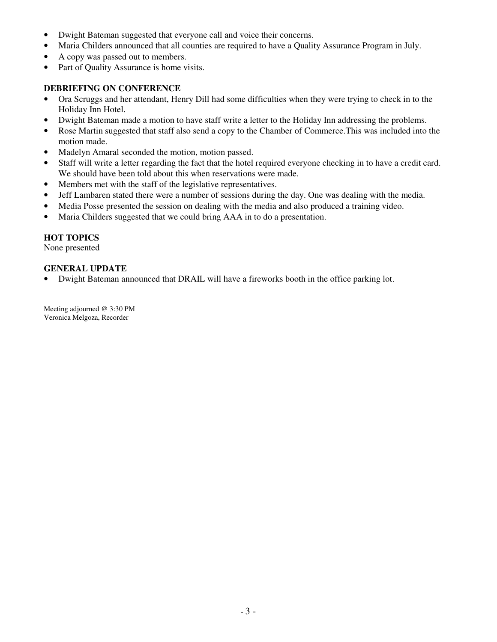- Dwight Bateman suggested that everyone call and voice their concerns.
- Maria Childers announced that all counties are required to have a Quality Assurance Program in July.
- A copy was passed out to members.
- Part of Quality Assurance is home visits.

## **DEBRIEFING ON CONFERENCE**

- Ora Scruggs and her attendant, Henry Dill had some difficulties when they were trying to check in to the Holiday Inn Hotel.
- Dwight Bateman made a motion to have staff write a letter to the Holiday Inn addressing the problems.
- Rose Martin suggested that staff also send a copy to the Chamber of Commerce.This was included into the motion made.
- Madelyn Amaral seconded the motion, motion passed.
- Staff will write a letter regarding the fact that the hotel required everyone checking in to have a credit card. We should have been told about this when reservations were made.
- Members met with the staff of the legislative representatives.
- Jeff Lambaren stated there were a number of sessions during the day. One was dealing with the media.
- Media Posse presented the session on dealing with the media and also produced a training video.
- Maria Childers suggested that we could bring AAA in to do a presentation.

# **HOT TOPICS**

None presented

# **GENERAL UPDATE**

• Dwight Bateman announced that DRAIL will have a fireworks booth in the office parking lot.

Meeting adjourned @ 3:30 PM Veronica Melgoza, Recorder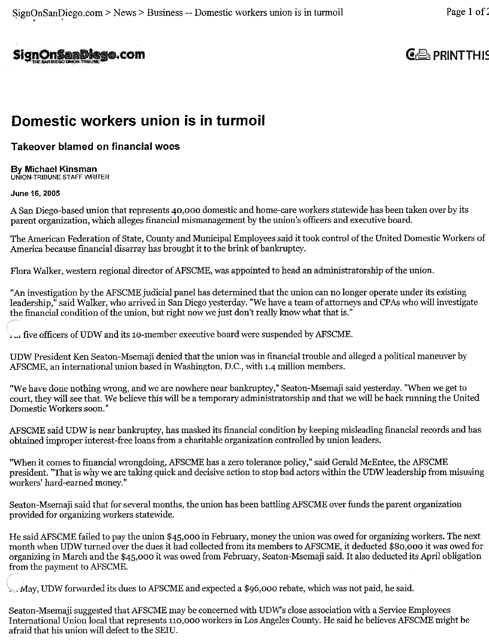

# $GE$  PRINT THIS

# Domestic workers union is in turmoil

# **Takeover blamed on financial woes**

### By Michael Kinsman UNION-TRIBUNE STAFF WRITER

# June 16, 2005

A San Diego-based union that represents 40,000 domestic and home-care workers statewide has been taken over by its parent organization, which alleges financial mismanagement by the union's officers and executive board.

The American Federation of State, County and Municipal Employees said it took control of the United Domestic Workers of America because financial disarray has brought it to the brink of bankruptcy.

Flora Walker, western regional director of AFSCME, was appointed to head an administratorship of the union.

"An investigation by the AFSCME judicial panel has determined that the union can no longer operate under its existing leadership," said Walker, who arrived in San Diego yesterday. "We have a team of attorneys and CPAs who will investigate the financial condition of the union, but right now we just don't really know what that is."

 $\mathbf{r}_{\text{out}}$  five officers of UDW and its 10-member executive board were suspended by AFSCME.

UDW President Ken Seaton-Msemaji denied that the union was in financial trouble and alleged a political maneuver by AFSCME, an international union based in Washington, D.C., with 1.4 million members.

"We have done nothing wrong, and we are nowhere near bankruptcy," Seaton-Msemaji said yesterday. "When we get to court, they will see that. We believe this will be a temporary administratorship and that we will be back running the United Domestic Workers soon."

AFSCME said UDW is near bankruptcy, has masked its financial condition by keeping misleading financial records and has obtained improper interest-free loans from a charitable organization controlled by union leaders.

"When it comes to financial wrongdoing, AFSCME has a zero tolerance policy," said Gerald McEntee, the AFSCME president. "That is why we are taking quick and decisive action to stop bad actors within the UDW leadership from misusing workers' hard-earned money."

Seaton-Msemaji said that for several months, the union has been battling AFSCME over funds the parent organization provided for organizing workers statewide.

He said AFSCME failed to pay the union \$45,000 in February, money the union was owed for organizing workers. The next month when UDW turned over the dues it had collected from its members to AFSCME, it deducted \$80,000 it was owed for organizing in March and the \$45,000 it was owed from February, Seaton-Msemaji said. It also deducted its April obligation from the payment to AFSCME.

May, UDW forwarded its dues to AFSCME and expected a \$96,000 rebate, which was not paid, he said.

Seaton-Msemaji suggested that AFSCME may be concerned with UDW's close association with a Service Employees International Union local that represents 110,000 workers in Los Angeles County. He said he believes AFSCME might be afraid that his union will defect to the SEIU.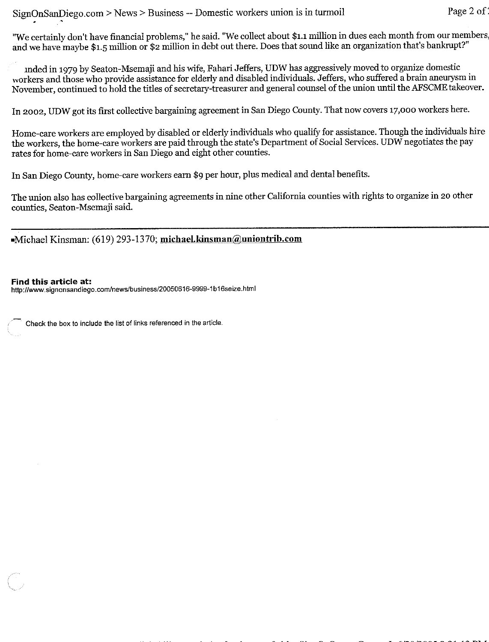"We certainly don't have financial problems," he said. "We collect about \$1.1 million in dues each month from our members, and we have maybe \$1.5 million or \$2 million in debt out there. Does that sound like an organization that's bankrupt?"

unded in 1979 by Seaton-Msemaji and his wife, Fahari Jeffers, UDW has aggressively moved to organize domestic workers and those who provide assistance for elderly and disabled individuals. Jeffers, who suffered a brain aneurysm in November, continued to hold the titles of secretary-treasurer and general counsel of the union until the AFSCME takeover.

In 2002, UDW got its first collective bargaining agreement in San Diego County. That now covers 17,000 workers here.

Home-care workers are employed by disabled or elderly individuals who qualify for assistance. Though the individuals hire the workers, the home-care workers are paid through the state's Department of Social Services. UDW negotiates the pay rates for home-care workers in San Diego and eight other counties.

In San Diego County, home-care workers earn \$9 per hour, plus medical and dental benefits.

The union also has collective bargaining agreements in nine other California counties with rights to organize in 20 other counties, Seaton-Msemaji said.

Michael Kinsman: (619) 293-1370; michael.kinsman@uniontrib.com

### Find this article at:

http://www.signonsandiego.com/news/business/20050616-9999-1b16seize.html

Check the box to include the list of links referenced in the article.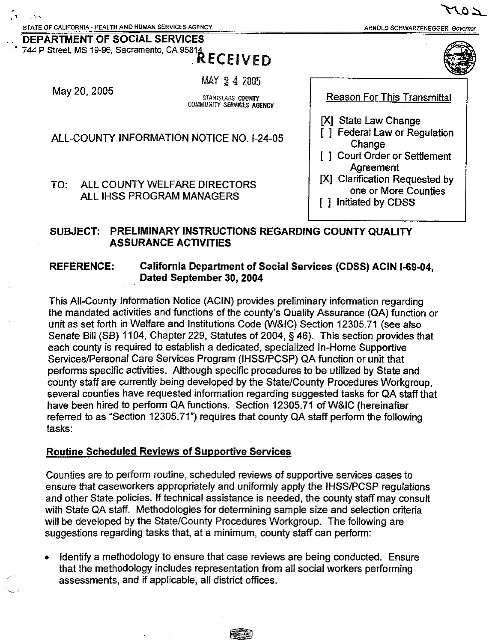**DEPARTMENT OF SOCIAL SERVICES** 

ARNOLD SCHWARZENEGGER. Governor



744 P Street, MS 19-96, Sacramento, CA 95814 **RECEIVED** 

MAY 24 2005

May 20, 2005

STANISLAUS COUNTY COMMUNITY SERVICES AGENCY

ALL-COUNTY INFORMATION NOTICE NO. 1-24-05

#### ALL COUNTY WELFARE DIRECTORS  $TO:$ ALL IHSS PROGRAM MANAGERS

# SUBJECT: PRELIMINARY INSTRUCTIONS REGARDING COUNTY QUALITY **ASSURANCE ACTIVITIES**

#### **REFERENCE:** California Department of Social Services (CDSS) ACIN I-69-04. Dated September 30, 2004

This All-County Information Notice (ACIN) provides preliminary information regarding the mandated activities and functions of the county's Quality Assurance (QA) function or unit as set forth in Welfare and Institutions Code (W&IC) Section 12305.71 (see also Senate Bill (SB) 1104, Chapter 229, Statutes of 2004, § 46). This section provides that each county is required to establish a dedicated, specialized In-Home Supportive Services/Personal Care Services Program (IHSS/PCSP) QA function or unit that performs specific activities. Although specific procedures to be utilized by State and county staff are currently being developed by the State/County Procedures Workgroup. several counties have requested information regarding suggested tasks for QA staff that have been hired to perform QA functions. Section 12305.71 of W&IC (hereinafter referred to as "Section 12305.71") requires that county QA staff perform the following tasks:

# **Routine Scheduled Reviews of Supportive Services**

Counties are to perform routine, scheduled reviews of supportive services cases to ensure that caseworkers appropriately and uniformly apply the IHSS/PCSP regulations and other State policies. If technical assistance is needed, the county staff may consult with State QA staff. Methodologies for determining sample size and selection criteria will be developed by the State/County Procedures Workgroup. The following are suggestions regarding tasks that, at a minimum, county staff can perform:

Identify a methodology to ensure that case reviews are being conducted. Ensure that the methodology includes representation from all social workers performing assessments, and if applicable, all district offices.

**Reason For This Transmittal** 

- **IXI State Law Change**
- **I** 1 Federal Law or Regulation Change
- [ ] Court Order or Settlement Agreement
- [X] Clarification Requested by one or More Counties
- [ ] Initiated by CDSS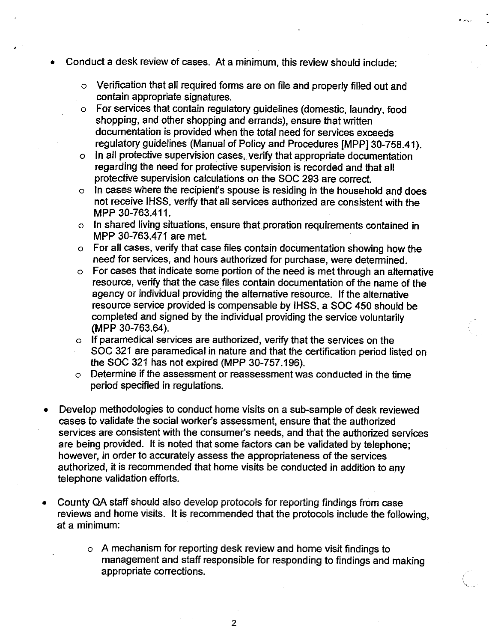- Conduct a desk review of cases. At a minimum, this review should include:
	- Verification that all required forms are on file and properly filled out and  $\Omega$ contain appropriate signatures.
	- o For services that contain regulatory guidelines (domestic, laundry, food shopping, and other shopping and errands), ensure that written documentation is provided when the total need for services exceeds regulatory guidelines (Manual of Policy and Procedures [MPP] 30-758.41).
	- In all protective supervision cases, verify that appropriate documentation  $\circ$ regarding the need for protective supervision is recorded and that all protective supervision calculations on the SOC 293 are correct.
	- In cases where the recipient's spouse is residing in the household and does  $\circ$ not receive IHSS, verify that all services authorized are consistent with the MPP 30-763.411.
	- o In shared living situations, ensure that proration requirements contained in MPP 30-763,471 are met.
	- o For all cases, verify that case files contain documentation showing how the need for services, and hours authorized for purchase, were determined.
	- For cases that indicate some portion of the need is met through an alternative  $\circ$ resource, verify that the case files contain documentation of the name of the agency or individual providing the alternative resource. If the alternative resource service provided is compensable by IHSS, a SOC 450 should be completed and signed by the individual providing the service voluntarily (MPP 30-763.64).
	- o If paramedical services are authorized, verify that the services on the SOC 321 are paramedical in nature and that the certification period listed on the SOC 321 has not expired (MPP 30-757.196).
	- Determine if the assessment or reassessment was conducted in the time  $\circ$ period specified in regulations.
- Develop methodologies to conduct home visits on a sub-sample of desk reviewed cases to validate the social worker's assessment, ensure that the authorized services are consistent with the consumer's needs, and that the authorized services are being provided. It is noted that some factors can be validated by telephone: however, in order to accurately assess the appropriateness of the services authorized, it is recommended that home visits be conducted in addition to any telephone validation efforts.
- County QA staff should also develop protocols for reporting findings from case  $\bullet$ reviews and home visits. It is recommended that the protocols include the following, at a minimum:
	- o A mechanism for reporting desk review and home visit findings to management and staff responsible for responding to findings and making appropriate corrections.

 $\overline{2}$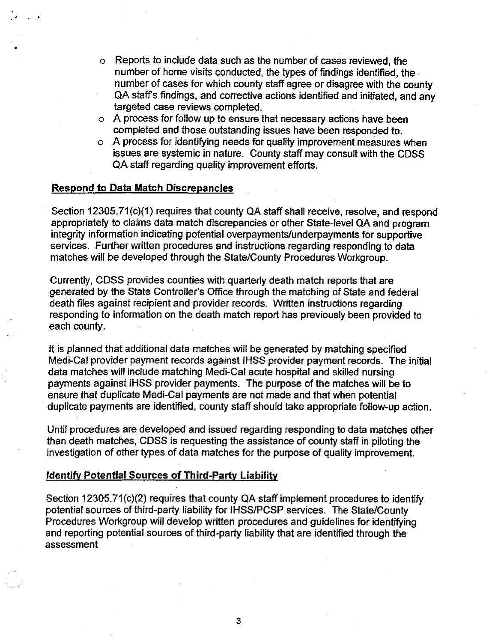- Reports to include data such as the number of cases reviewed, the  $\circ$ number of home visits conducted, the types of findings identified, the number of cases for which county staff agree or disagree with the county QA staff's findings, and corrective actions identified and initiated, and any targeted case reviews completed.
- o A process for follow up to ensure that necessary actions have been completed and those outstanding issues have been responded to.
- o A process for identifying needs for quality improvement measures when issues are systemic in nature. County staff may consult with the CDSS QA staff regarding quality improvement efforts.

## **Respond to Data Match Discrepancies**

Section 12305.71(c)(1) requires that county QA staff shall receive, resolve, and respond appropriately to claims data match discrepancies or other State-level QA and program integrity information indicating potential overpayments/underpayments for supportive services. Further written procedures and instructions regarding responding to data matches will be developed through the State/County Procedures Workgroup.

Currently, CDSS provides counties with quarterly death match reports that are generated by the State Controller's Office through the matching of State and federal death files against recipient and provider records. Written instructions regarding responding to information on the death match report has previously been provided to each county.

It is planned that additional data matches will be generated by matching specified Medi-Cal provider payment records against IHSS provider payment records. The initial data matches will include matching Medi-Cal acute hospital and skilled nursing payments against IHSS provider payments. The purpose of the matches will be to ensure that duplicate Medi-Cal payments are not made and that when potential duplicate payments are identified, county staff should take appropriate follow-up action.

Until procedures are developed and issued regarding responding to data matches other than death matches, CDSS is requesting the assistance of county staff in piloting the investigation of other types of data matches for the purpose of quality improvement.

### **Identify Potential Sources of Third-Party Liability**

Section 12305.71(c)(2) requires that county QA staff implement procedures to identify potential sources of third-party liability for IHSS/PCSP services. The State/County Procedures Workgroup will develop written procedures and quidelines for identifying and reporting potential sources of third-party liability that are identified through the assessment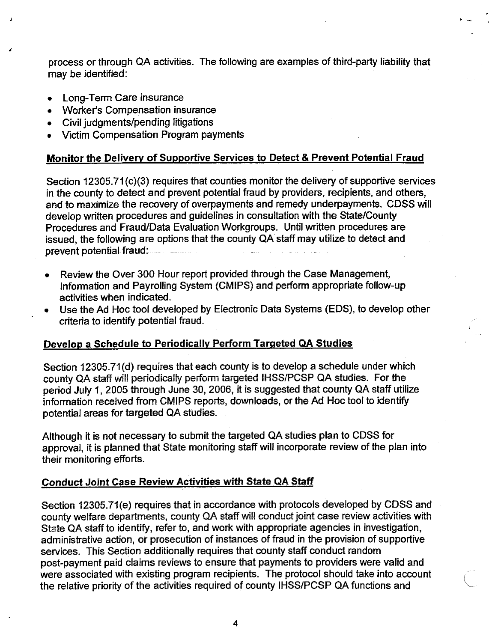process or through QA activities. The following are examples of third-party liability that may be identified:

- Long-Term Care insurance  $\bullet$
- Worker's Compensation insurance
- Civil judgments/pending litigations  $\bullet$
- Victim Compensation Program payments

# Monitor the Delivery of Supportive Services to Detect & Prevent Potential Fraud

Section 12305.71(c)(3) requires that counties monitor the delivery of supportive services in the county to detect and prevent potential fraud by providers, recipients, and others, and to maximize the recovery of overpayments and remedy underpayments. CDSS will develop written procedures and quidelines in consultation with the State/County Procedures and Fraud/Data Evaluation Workgroups. Until written procedures are issued, the following are options that the county QA staff may utilize to detect and prevent potential fraud: **The State of August** 

- Review the Over 300 Hour report provided through the Case Management, Information and Payrolling System (CMIPS) and perform appropriate follow-up activities when indicated.
- Use the Ad Hoc tool developed by Electronic Data Systems (EDS), to develop other criteria to identify potential fraud.

# Develop a Schedule to Periodically Perform Targeted QA Studies

Section 12305.71(d) requires that each county is to develop a schedule under which county QA staff will periodically perform targeted IHSS/PCSP QA studies. For the period July 1, 2005 through June 30, 2006, it is suggested that county QA staff utilize information received from CMIPS reports, downloads, or the Ad Hoc tool to identify potential areas for targeted QA studies.

Although it is not necessary to submit the targeted QA studies plan to CDSS for approval, it is planned that State monitoring staff will incorporate review of the plan into their monitoring efforts.

# **Conduct Joint Case Review Activities with State QA Staff**

Section 12305.71(e) requires that in accordance with protocols developed by CDSS and county welfare departments, county QA staff will conduct joint case review activities with State QA staff to identify, refer to, and work with appropriate agencies in investigation, administrative action, or prosecution of instances of fraud in the provision of supportive services. This Section additionally requires that county staff conduct random post-payment paid claims reviews to ensure that payments to providers were valid and were associated with existing program recipients. The protocol should take into account the relative priority of the activities required of county IHSS/PCSP QA functions and